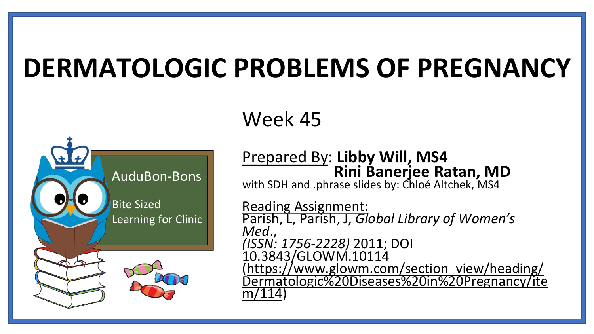# **DERMATOLOGIC PROBLEMS OF PREGNANCY**





#### Prepared By: **Libby Will, MS4 Rini Banerjee Ratan, MD**

with SDH and .phrase slides by: Chloé Altchek, MS4

Reading Assignment: Parish, L, Parish, J, *Global Library of Women's Med*., *(ISSN: 1756-2228)* 2011; DOI 10.3843/GLOWM.10114 (https://www.glowm.com/section\_view/heading/ [Dermatologic%20Diseases%20in%20Pregnancy/ite](https://www.glowm.com/section_view/heading/Dermatologic%20Diseases%20in%20Pregnancy/item/114) m/114)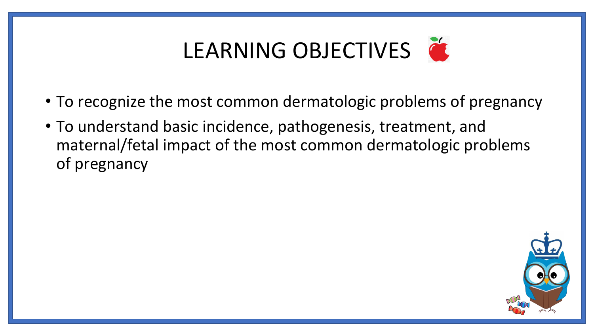# LEARNING OBJECTIVES

- To recognize the most common dermatologic problems of pregnancy
- To understand basic incidence, pathogenesis, treatment, and maternal/fetal impact of the most common dermatologic problems of pregnancy

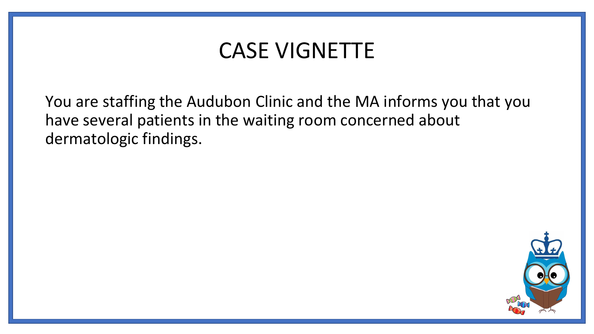## CASE VIGNETTE

You are staffing the Audubon Clinic and the MA informs you that you have several patients in the waiting room concerned about dermatologic findings.

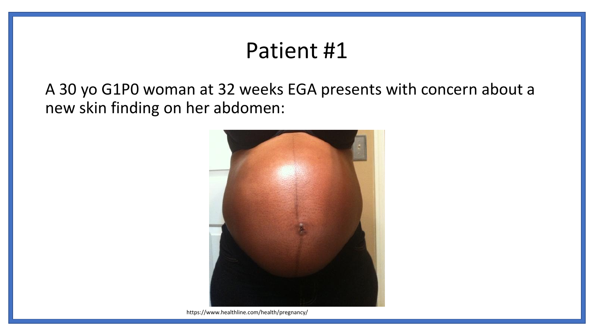A 30 yo G1P0 woman at 32 weeks EGA presents with concern about a new skin finding on her abdomen:



https://www.healthline.com/health/pregnancy/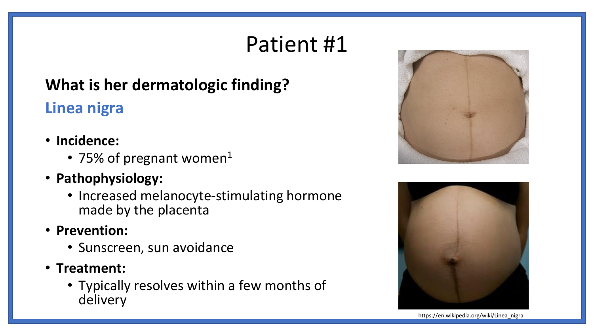### **What is her dermatologic finding?**

### **Linea nigra**

- **Incidence:** 
	- 75% of pregnant women<sup>1</sup>
- **Pathophysiology:** 
	- Increased melanocyte-stimulating hormone made by the placenta
- **Prevention:** 
	- Sunscreen, sun avoidance
- **Treatment:** 
	- Typically resolves within a few months of delivery



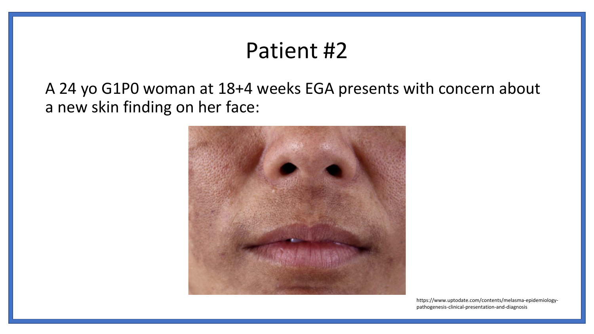A 24 yo G1P0 woman at 18+4 weeks EGA presents with concern about a new skin finding on her face:



https://www.uptodate.com/contents/melasma-epidemiologypathogenesis-clinical-presentation-and-diagnosis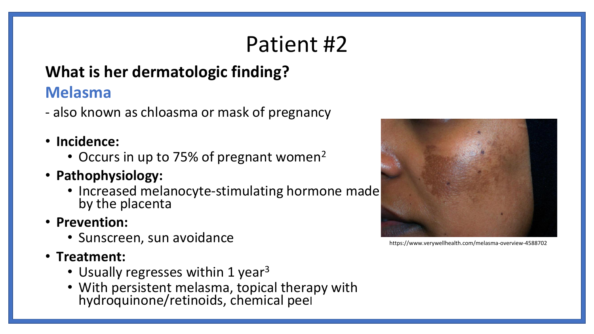## **What is her dermatologic finding?**

### **Melasma**

- also known as chloasma or mask of pregnancy
- **Incidence:** 
	- Occurs in up to 75% of pregnant women<sup>2</sup>
- **Pathophysiology:** 
	- Increased melanocyte-stimulating hormone made by the placenta
- **Prevention:** 
	- Sunscreen, sun avoidance
- **Treatment:** 
	- Usually regresses within 1 year<sup>3</sup>
	- With persistent melasma, topical therapy with hydroquinone/retinoids, chemical peel



https://www.verywellhealth.com/melasma-overview-4588702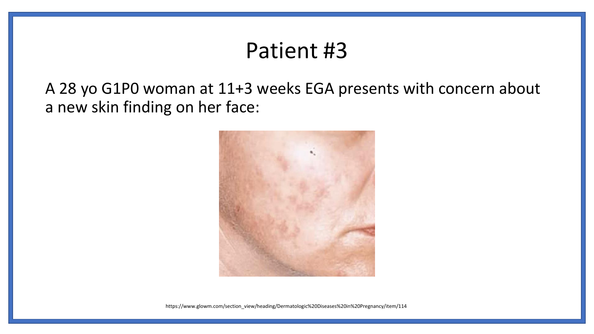A 28 yo G1P0 woman at 11+3 weeks EGA presents with concern about a new skin finding on her face:



https://www.glowm.com/section\_view/heading/Dermatologic%20Diseases%20in%20Pregnancy/item/114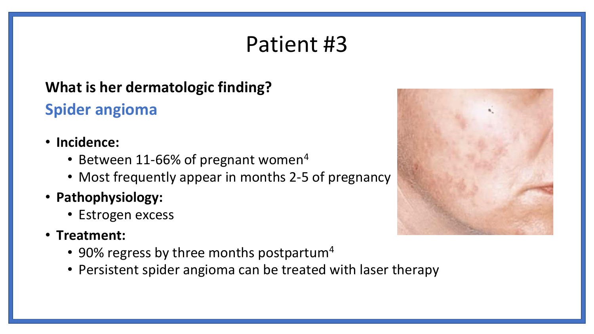### **What is her dermatologic finding?**

### **Spider angioma**

- **Incidence:** 
	- Between 11-66% of pregnant women<sup>4</sup>
	- Most frequently appear in months 2-5 of pregnancy
- **Pathophysiology:** 
	- Estrogen excess
- **Treatment:** 
	- 90% regress by three months postpartum<sup>4</sup>
	- Persistent spider angioma can be treated with laser therapy

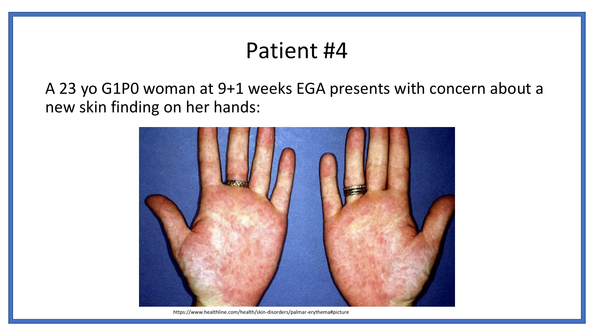A 23 yo G1P0 woman at 9+1 weeks EGA presents with concern about a new skin finding on her hands:



https://www.healthline.com/health/skin-disorders/palmar-erythema#picture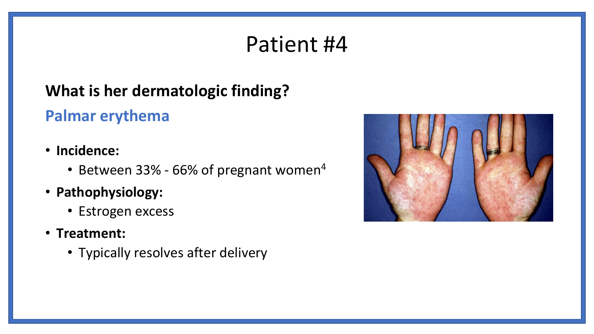### **What is her dermatologic finding?**

### **Palmar erythema**

- **Incidence:** 
	- Between 33% 66% of pregnant women<sup>4</sup>
- **Pathophysiology:** 
	- Estrogen excess
- **Treatment:** 
	- Typically resolves after delivery

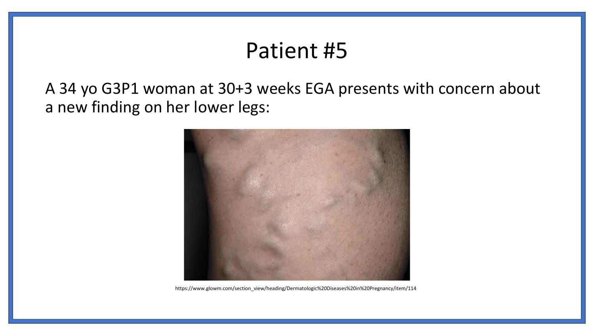A 34 yo G3P1 woman at 30+3 weeks EGA presents with concern about a new finding on her lower legs:



https://www.glowm.com/section\_view/heading/Dermatologic%20Diseases%20in%20Pregnancy/item/114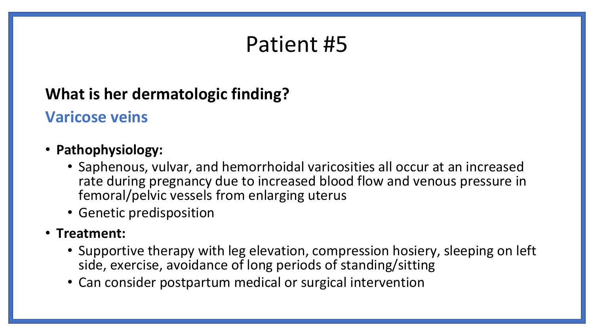### **What is her dermatologic finding?**

### **Varicose veins**

#### • **Pathophysiology:**

- Saphenous, vulvar, and hemorrhoidal varicosities all occur at an increased rate during pregnancy due to increased blood flow and venous pressure in femoral/pelvic vessels from enlarging uterus
- Genetic predisposition

#### • **Treatment:**

- Supportive therapy with leg elevation, compression hosiery, sleeping on left side, exercise, avoidance of long periods of standing/sitting
- Can consider postpartum medical or surgical intervention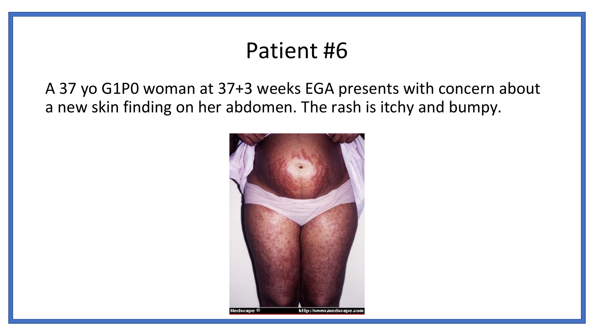A 37 yo G1P0 woman at 37+3 weeks EGA presents with concern about a new skin finding on her abdomen. The rash is itchy and bumpy.

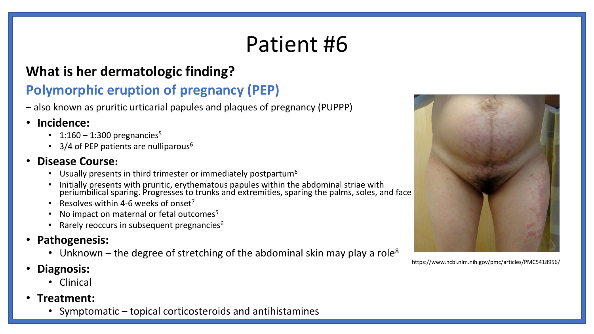#### **What is her dermatologic finding?**

### **Polymorphic eruption of pregnancy (PEP)**

– also known as pruritic urticarial papules and plaques of pregnancy (PUPPP)

#### • **Incidence:**

- 1:160 1:300 pregnancies<sup>5</sup>
- $3/4$  of PEP patients are nulliparous<sup>6</sup>

#### • **Disease Course:**

- Usually presents in third trimester or immediately postpartum<sup>6</sup>
- Initially presents with pruritic, erythematous papules within the abdominal striae with periumbilical sparing. Progresses to trunks and extremities, sparing the palms, soles, and face
- **Resolves within 4-6 weeks of onset**<sup>7</sup>
- No impact on maternal or fetal outcomes<sup>5</sup>
- Rarely reoccurs in subsequent pregnancies<sup>6</sup>
- **Pathogenesis:**
	- Unknown  $-$  the degree of stretching of the abdominal skin may play a role<sup>8</sup>
- **Diagnosis:** 
	- Clinical
- **Treatment:** 
	- Symptomatic topical corticosteroids and antihistamines



https://www.ncbi.nlm.nih.gov/pmc/articles/PMC5418956/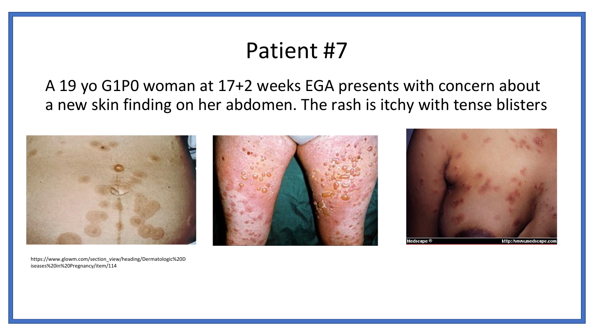#### A 19 yo G1P0 woman at 17+2 weeks EGA presents with concern about a new skin finding on her abdomen. The rash is itchy with tense blisters





https://www.glowm.com/section\_view/heading/Dermatologic%20D iseases%20in%20Pregnancy/item/114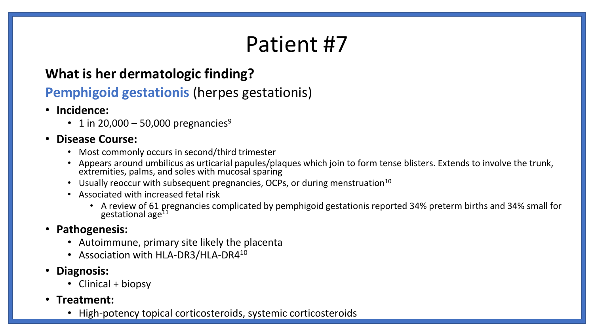#### **What is her dermatologic finding?**

#### **Pemphigoid gestationis** (herpes gestationis)

- **Incidence:** 
	- 1 in 20,000 50,000 pregnancies<sup>9</sup>

#### • **Disease Course:**

- Most commonly occurs in second/third trimester
- Appears around umbilicus as urticarial papules/plaques which join to form tense blisters. Extends to involve the trunk, extremities, palms, and soles with mucosal sparing
- Usually reoccur with subsequent pregnancies, OCPs, or during menstruation<sup>10</sup>
- Associated with increased fetal risk
	- A review of 61 pregnancies complicated by pemphigoid gestationis reported 34% preterm births and 34% small for gestational age<sup>11</sup>

#### • **Pathogenesis:**

- Autoimmune, primary site likely the placenta
- Association with HLA-DR3/HLA-DR4<sup>10</sup>
- **Diagnosis:** 
	- Clinical + biopsy
- **Treatment:** 
	- High-potency topical corticosteroids, systemic corticosteroids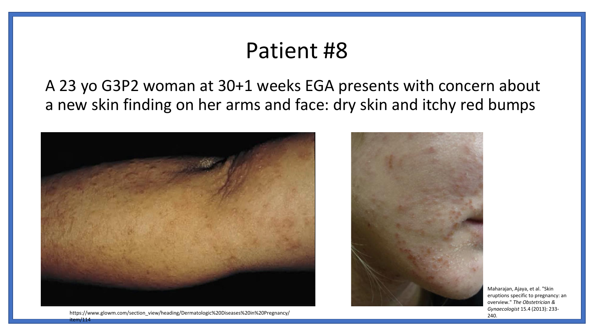A 23 yo G3P2 woman at 30+1 weeks EGA presents with concern about a new skin finding on her arms and face: dry skin and itchy red bumps





Maharajan, Ajaya, et al. "Skin eruptions specific to pregnancy: an overview." *The Obstetrician & Gynaecologist* 15.4 (2013): 233- 240.

https://www.glowm.com/section\_view/heading/Dermatologic%20Diseases%20in%20Pregnancy/  $tem/114$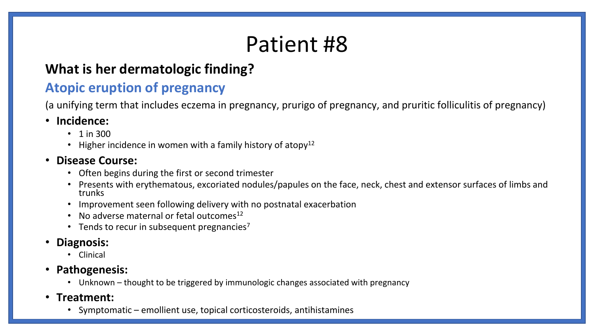#### **What is her dermatologic finding?**

#### **Atopic eruption of pregnancy**

(a unifying term that includes eczema in pregnancy, prurigo of pregnancy, and pruritic folliculitis of pregnancy)

#### • **Incidence:**

- 1 in 300
- Higher incidence in women with a family history of atopy<sup>12</sup>

#### • **Disease Course:**

- Often begins during the first or second trimester
- Presents with erythematous, excoriated nodules/papules on the face, neck, chest and extensor surfaces of limbs and trunks
- Improvement seen following delivery with no postnatal exacerbation
- No adverse maternal or fetal outcomes $^{12}$
- Tends to recur in subsequent pregnancies<sup>7</sup>
- **Diagnosis:**
	- Clinical
- **Pathogenesis:**
	- Unknown thought to be triggered by immunologic changes associated with pregnancy
- **Treatment:** 
	- Symptomatic emollient use, topical corticosteroids, antihistamines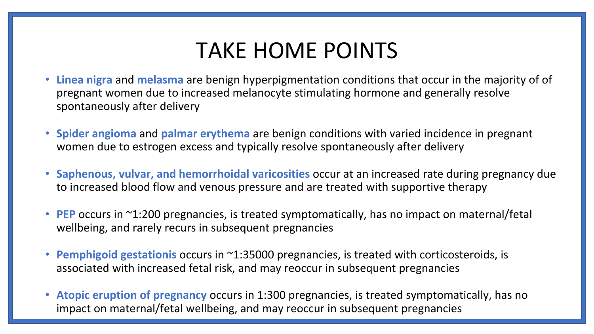## TAKE HOME POINTS

- **Linea nigra** and **melasma** are benign hyperpigmentation conditions that occur in the majority of of pregnant women due to increased melanocyte stimulating hormone and generally resolve spontaneously after delivery
- **Spider angioma** and **palmar erythema** are benign conditions with varied incidence in pregnant women due to estrogen excess and typically resolve spontaneously after delivery
- **Saphenous, vulvar, and hemorrhoidal varicosities** occur at an increased rate during pregnancy due to increased blood flow and venous pressure and are treated with supportive therapy
- **PEP** occurs in ~1:200 pregnancies, is treated symptomatically, has no impact on maternal/fetal wellbeing, and rarely recurs in subsequent pregnancies
- **Pemphigoid gestationis** occurs in ~1:35000 pregnancies, is treated with corticosteroids, is associated with increased fetal risk, and may reoccur in subsequent pregnancies
- **Atopic eruption of pregnancy** occurs in 1:300 pregnancies, is treated symptomatically, has no impact on maternal/fetal wellbeing, and may reoccur in subsequent pregnancies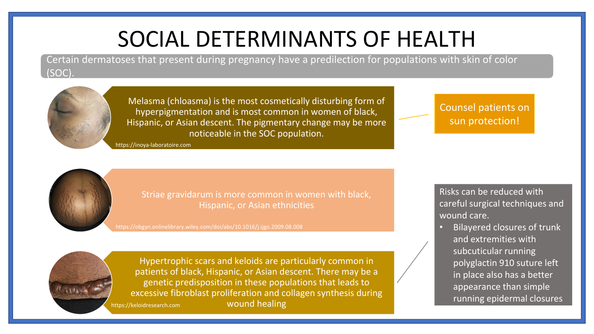## SOCIAL DETERMINANTS OF HEALTH

Certain dermatoses that present during pregnancy have a predilection for populations with skin of color (SOC).



Melasma (chloasma) is the most cosmetically disturbing form of hyperpigmentation and is most common in women of black, Hispanic, or Asian descent. The pigmentary change may be more noticeable in the SOC population.

https://inoya-laboratoire.com

Counsel patients on sun protection!



Striae gravidarum is more common in women with black, Hispanic, or Asian ethnicities



Hypertrophic scars and keloids are particularly common in patients of black, Hispanic, or Asian descent. There may be a genetic predisposition in these populations that leads to excessive fibroblast proliferation and collagen synthesis during wound healing https://keloidresearch.com

Risks can be reduced with careful surgical techniques and wound care.

• Bilayered closures of trunk and extremities with subcuticular running polyglactin 910 suture left in place also has a better appearance than simple running epidermal closures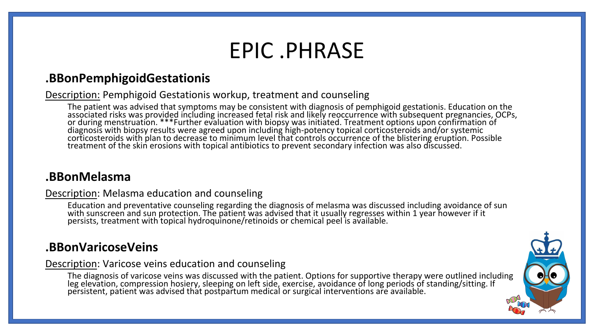## EPIC .PHRASE

#### **.BBonPemphigoidGestationis**

Description: Pemphigoid Gestationis workup, treatment and counseling

The patient was advised that symptoms may be consistent with diagnosis of pemphigoid gestationis. Education on the associated risks was provided including increased fetal risk and likely reoccurrence with subsequent pregnancies, OCPs, or during menstruation. \*\*\*Further evaluation with biopsy was initiated. Treatment options upon confirmation of diagnosis with biopsy results were agreed upon including high-potency topical corticosteroids and/or systemic corticosteroids with plan to decrease to minimum level that controls occurrence of the blistering eruption. Possible treatment of the skin erosions with topical antibiotics to prevent secondary infection was also discussed.

#### **.BBonMelasma**

#### Description: Melasma education and counseling

Education and preventative counseling regarding the diagnosis of melasma was discussed including avoidance of sun with sunscreen and sun protection. The patient was advised that it usually regresses within 1 year however if it persists, treatment with topical hydroquinone/retinoids or chemical peel is available.

#### **.BBonVaricoseVeins**

Description: Varicose veins education and counseling

The diagnosis of varicose veins was discussed with the patient. Options for supportive therapy were outlined including leg elevation, compression hosiery, sleeping on left side, exercise, avoidance of long periods of standing/sitting. If persistent, patient was advised that postpartum medical or surgical interventions are available.

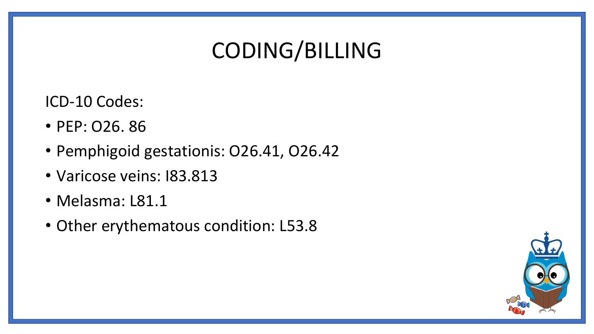# CODING/BILLING

ICD-10 Codes:

- PEP: O26. 86
- Pemphigoid gestationis: O26.41, O26.42
- Varicose veins: I83.813
- Melasma: L81.1
- Other erythematous condition: L53.8